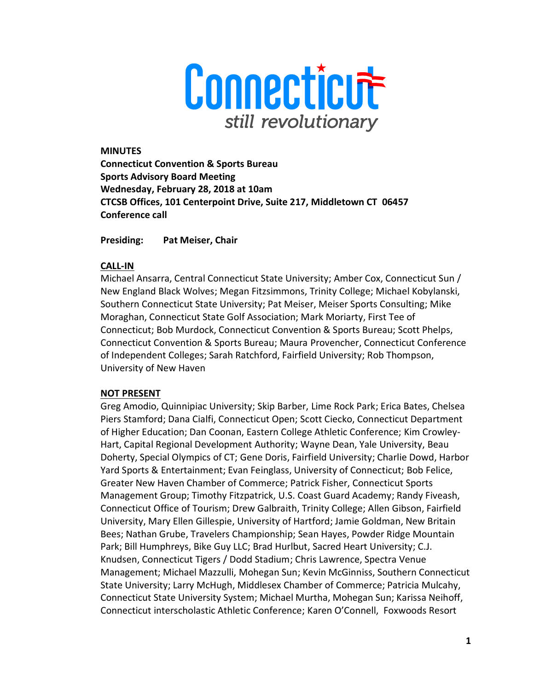

#### **MINUTES**

**Connecticut Convention & Sports Bureau Sports Advisory Board Meeting Wednesday, February 28, 2018 at 10am CTCSB Offices, 101 Centerpoint Drive, Suite 217, Middletown CT 06457 Conference call** 

**Presiding: Pat Meiser, Chair** 

### **CALL-IN**

Michael Ansarra, Central Connecticut State University; Amber Cox, Connecticut Sun / New England Black Wolves; Megan Fitzsimmons, Trinity College; Michael Kobylanski, Southern Connecticut State University; Pat Meiser, Meiser Sports Consulting; Mike Moraghan, Connecticut State Golf Association; Mark Moriarty, First Tee of Connecticut; Bob Murdock, Connecticut Convention & Sports Bureau; Scott Phelps, Connecticut Convention & Sports Bureau; Maura Provencher, Connecticut Conference of Independent Colleges; Sarah Ratchford, Fairfield University; Rob Thompson, University of New Haven

### **NOT PRESENT**

Greg Amodio, Quinnipiac University; Skip Barber, Lime Rock Park; Erica Bates, Chelsea Piers Stamford; Dana Cialfi, Connecticut Open; Scott Ciecko, Connecticut Department of Higher Education; Dan Coonan, Eastern College Athletic Conference; Kim Crowley-Hart, Capital Regional Development Authority; Wayne Dean, Yale University, Beau Doherty, Special Olympics of CT; Gene Doris, Fairfield University; Charlie Dowd, Harbor Yard Sports & Entertainment; Evan Feinglass, University of Connecticut; Bob Felice, Greater New Haven Chamber of Commerce; Patrick Fisher, Connecticut Sports Management Group; Timothy Fitzpatrick, U.S. Coast Guard Academy; Randy Fiveash, Connecticut Office of Tourism; Drew Galbraith, Trinity College; Allen Gibson, Fairfield University, Mary Ellen Gillespie, University of Hartford; Jamie Goldman, New Britain Bees; Nathan Grube, Travelers Championship; Sean Hayes, Powder Ridge Mountain Park; Bill Humphreys, Bike Guy LLC; Brad Hurlbut, Sacred Heart University; C.J. Knudsen, Connecticut Tigers / Dodd Stadium; Chris Lawrence, Spectra Venue Management; Michael Mazzulli, Mohegan Sun; Kevin McGinniss, Southern Connecticut State University; Larry McHugh, Middlesex Chamber of Commerce; Patricia Mulcahy, Connecticut State University System; Michael Murtha, Mohegan Sun; Karissa Neihoff, Connecticut interscholastic Athletic Conference; Karen O'Connell, Foxwoods Resort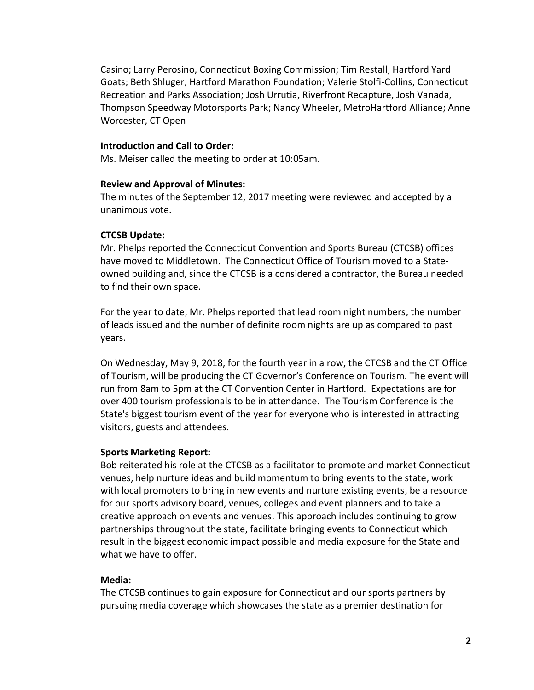Casino; Larry Perosino, Connecticut Boxing Commission; Tim Restall, Hartford Yard Goats; Beth Shluger, Hartford Marathon Foundation; Valerie Stolfi-Collins, Connecticut Recreation and Parks Association; Josh Urrutia, Riverfront Recapture, Josh Vanada, Thompson Speedway Motorsports Park; Nancy Wheeler, MetroHartford Alliance; Anne Worcester, CT Open

#### **Introduction and Call to Order:**

Ms. Meiser called the meeting to order at 10:05am.

#### **Review and Approval of Minutes:**

The minutes of the September 12, 2017 meeting were reviewed and accepted by a unanimous vote.

### **CTCSB Update:**

Mr. Phelps reported the Connecticut Convention and Sports Bureau (CTCSB) offices have moved to Middletown. The Connecticut Office of Tourism moved to a Stateowned building and, since the CTCSB is a considered a contractor, the Bureau needed to find their own space.

For the year to date, Mr. Phelps reported that lead room night numbers, the number of leads issued and the number of definite room nights are up as compared to past years.

On Wednesday, May 9, 2018, for the fourth year in a row, the CTCSB and the CT Office of Tourism, will be producing the CT Governor's Conference on Tourism. The event will run from 8am to 5pm at the CT Convention Center in Hartford. Expectations are for over 400 tourism professionals to be in attendance. The Tourism Conference is the State's biggest tourism event of the year for everyone who is interested in attracting visitors, guests and attendees.

#### **Sports Marketing Report:**

Bob reiterated his role at the CTCSB as a facilitator to promote and market Connecticut venues, help nurture ideas and build momentum to bring events to the state, work with local promoters to bring in new events and nurture existing events, be a resource for our sports advisory board, venues, colleges and event planners and to take a creative approach on events and venues. This approach includes continuing to grow partnerships throughout the state, facilitate bringing events to Connecticut which result in the biggest economic impact possible and media exposure for the State and what we have to offer.

### **Media:**

The CTCSB continues to gain exposure for Connecticut and our sports partners by pursuing media coverage which showcases the state as a premier destination for